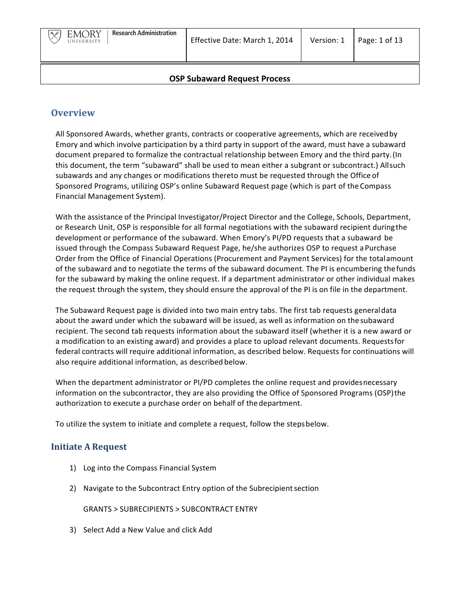

## **OSP Subaward Request Process**

# **Overview**

All Sponsored Awards, whether grants, contracts or cooperative agreements, which are received by Emory and which involve participation by a third party in support of the award, must have a subaward document prepared to formalize the contractual relationship between Emory and the third party. (In this document, the term "subaward" shall be used to mean either a subgrant or subcontract.) Allsuch subawards and any changes or modifications thereto must be requested through the Office of Sponsored Programs, utilizing OSP's online Subaward Request page (which is part of the Compass Financial Management System).

With the assistance of the Principal Investigator/Project Director and the College, Schools, Department, or Research Unit, OSP is responsible for all formal negotiations with the subaward recipient during the development or performance of the subaward. When Emory's PI/PD requests that a subaward be issued through the Compass Subaward Request Page, he/she authorizes OSP to request a Purchase Order from the Office of Financial Operations (Procurement and Payment Services) for the totalamount of the subaward and to negotiate the terms of the subaward document. The PI is encumbering the funds for the subaward by making the online request. If a department administrator or other individual makes the request through the system, they should ensure the approval of the PI is on file in the department.

The Subaward Request page is divided into two main entry tabs. The first tab requests generaldata about the award under which the subaward will be issued, as well as information on the subaward recipient. The second tab requests information about the subaward itself (whether it is a new award or a modification to an existing award) and provides a place to upload relevant documents. Requests for federal contracts will require additional information, as described below. Requests for continuations will also require additional information, as described below.

When the department administrator or PI/PD completes the online request and provides necessary information on the subcontractor, they are also providing the Office of Sponsored Programs (OSP) the authorization to execute a purchase order on behalf of the department.

To utilize the system to initiate and complete a request, follow the stepsbelow.

# **Initiate A Request**

- 1) Log into the Compass Financial System
- 2) Navigate to the Subcontract Entry option of the Subrecipient section

GRANTS > SUBRECIPIENTS > SUBCONTRACT ENTRY

3) Select Add a New Value and click Add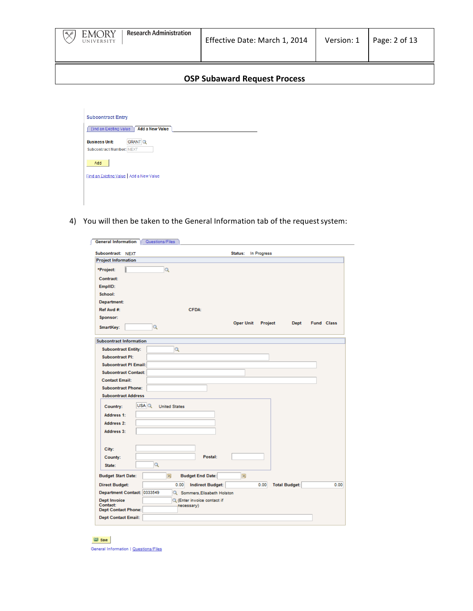| <b>Research Administration</b><br><b>EMORY</b><br>$\ddot{\mathbf{a}}$<br>UNIVERSITY | Effective Date: March 1, 2014       | Version: 1 | Page: $2$ of 13 |
|-------------------------------------------------------------------------------------|-------------------------------------|------------|-----------------|
|                                                                                     | <b>OSP Subaward Request Process</b> |            |                 |

|                                 | Find an Existing Value   Add a New Value |  |  |
|---------------------------------|------------------------------------------|--|--|
| <b>Business Unit:</b>           | <b>GRANT Q</b>                           |  |  |
| <b>Subcontract Number: NEXT</b> |                                          |  |  |
| Add                             |                                          |  |  |
|                                 | Find an Existing Value   Add a New Value |  |  |
|                                 |                                          |  |  |

4) You will then be taken to the General Information tab of the request system:

| Subcontract: NEXT                                       |                                   |                                 | Status:          | In Progress |                      |            |  |
|---------------------------------------------------------|-----------------------------------|---------------------------------|------------------|-------------|----------------------|------------|--|
| <b>Project Information</b>                              |                                   |                                 |                  |             |                      |            |  |
| *Project:                                               | Q                                 |                                 |                  |             |                      |            |  |
| Contract:                                               |                                   |                                 |                  |             |                      |            |  |
| EmpIID:                                                 |                                   |                                 |                  |             |                      |            |  |
| School:                                                 |                                   |                                 |                  |             |                      |            |  |
| Department:                                             |                                   |                                 |                  |             |                      |            |  |
| Ref Awd #:                                              |                                   | CFDA:                           |                  |             |                      |            |  |
| Sponsor:                                                |                                   |                                 |                  |             |                      |            |  |
| SmartKey:                                               | Q                                 |                                 | <b>Oper Unit</b> | Project     | Dept                 | Fund Class |  |
|                                                         |                                   |                                 |                  |             |                      |            |  |
| <b>Subcontract Information</b>                          |                                   |                                 |                  |             |                      |            |  |
| <b>Subcontract Entity:</b>                              |                                   | Q                               |                  |             |                      |            |  |
| <b>Subcontract PI:</b>                                  |                                   |                                 |                  |             |                      |            |  |
| Subcontract PI Email:                                   |                                   |                                 |                  |             |                      |            |  |
| <b>Subcontract Contact:</b>                             |                                   |                                 |                  |             |                      |            |  |
| <b>Contact Email:</b>                                   |                                   |                                 |                  |             |                      |            |  |
| <b>Subcontract Phone:</b><br><b>Subcontract Address</b> |                                   |                                 |                  |             |                      |            |  |
|                                                         |                                   |                                 |                  |             |                      |            |  |
| Country:                                                | $USA$ $Q$<br><b>United States</b> |                                 |                  |             |                      |            |  |
| <b>Address 1:</b>                                       |                                   |                                 |                  |             |                      |            |  |
| Address 2:                                              |                                   |                                 |                  |             |                      |            |  |
| <b>Address 3:</b>                                       |                                   |                                 |                  |             |                      |            |  |
|                                                         |                                   |                                 |                  |             |                      |            |  |
| City:                                                   |                                   |                                 |                  |             |                      |            |  |
| County:                                                 |                                   | Postal:                         |                  |             |                      |            |  |
| State:                                                  | Q                                 |                                 |                  |             |                      |            |  |
| <b>Budget Start Date:</b>                               | st.                               | <b>Budget End Date:</b>         | Bt.              |             |                      |            |  |
| <b>Direct Budget:</b>                                   |                                   | 0.00<br><b>Indirect Budget:</b> |                  | 0.00        | <b>Total Budget:</b> |            |  |
| Department Contact: 0333549                             |                                   | C. Sommers, Elisabeth Holston   |                  |             |                      |            |  |
| <b>Dept Invoice</b>                                     |                                   | Q (Enter invoice contact if     |                  |             |                      |            |  |
| Contact:<br><b>Dept Contact Phone:</b>                  |                                   | necessary)                      |                  |             |                      |            |  |

 $\boxplus$  save General Information | Questions/Files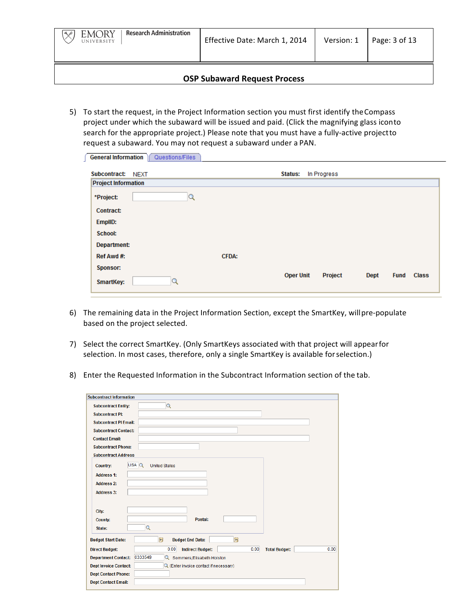

5) To start the request, in the Project Information section you must first identify the Compass project under which the subaward will be issued and paid. (Click the magnifying glass iconto search for the appropriate project.) Please note that you must have a fully-active projectto request a subaward. You may not request a subaward under a PAN.

| <b>General Information</b> | Questions/Files |              |                  |             |      |             |              |
|----------------------------|-----------------|--------------|------------------|-------------|------|-------------|--------------|
| Subcontract: NEXT          |                 |              | <b>Status:</b>   | In Progress |      |             |              |
| <b>Project Information</b> |                 |              |                  |             |      |             |              |
| *Project:                  | $\alpha$        |              |                  |             |      |             |              |
| <b>Contract:</b>           |                 |              |                  |             |      |             |              |
| EmplID:                    |                 |              |                  |             |      |             |              |
| School:                    |                 |              |                  |             |      |             |              |
| Department:                |                 |              |                  |             |      |             |              |
| Ref Awd #:                 |                 | <b>CFDA:</b> |                  |             |      |             |              |
| Sponsor:                   |                 |              |                  |             |      |             |              |
| <b>SmartKey:</b>           | Q               |              | <b>Oper Unit</b> | Project     | Dept | <b>Fund</b> | <b>Class</b> |
|                            |                 |              |                  |             |      |             |              |

- 6) The remaining data in the Project Information Section, except the SmartKey, will pre-populate based on the project selected.
- 7) Select the correct SmartKey. (Only SmartKeys associated with that project will appearfor selection. In most cases, therefore, only a single SmartKey is available for selection.)
- 8) Enter the Requested Information in the Subcontract Information section of the tab.

| <b>Subcontract Information</b>                                         |                              |
|------------------------------------------------------------------------|------------------------------|
| $\alpha$<br><b>Subcontract Entity:</b>                                 |                              |
| <b>Subcontract PI:</b>                                                 |                              |
| <b>Subcontract PI Email:</b>                                           |                              |
| <b>Subcontract Contact:</b>                                            |                              |
| <b>Contact Email:</b>                                                  |                              |
| <b>Subcontract Phone:</b>                                              |                              |
| <b>Subcontract Address</b>                                             |                              |
| USA Q<br><b>United States</b><br><b>Country:</b>                       |                              |
| <b>Address 1:</b>                                                      |                              |
| <b>Address 2:</b>                                                      |                              |
| <b>Address 3:</b>                                                      |                              |
|                                                                        |                              |
| City:                                                                  |                              |
| Postal:<br>County:                                                     |                              |
| $\mathbf{Q}$<br>State:                                                 |                              |
| E<br>同<br><b>Budget Start Date:</b><br><b>Budget End Date:</b>         |                              |
| 0.00<br>0.00<br><b>Direct Budget:</b><br><b>Indirect Budget:</b>       | 0.00<br><b>Total Budget:</b> |
| 0333549<br><b>Department Contact:</b><br>Sommers, Elisabeth Holston    |                              |
| <b>Dept Invoice Contact:</b><br>Q (Enter invoice contact if necessary) |                              |
| <b>Dept Contact Phone:</b>                                             |                              |
| <b>Dept Contact Email:</b>                                             |                              |
|                                                                        |                              |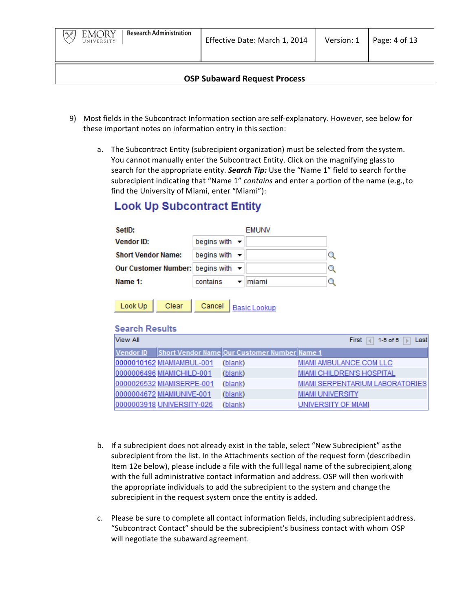- 9) Most fields in the Subcontract Information section are self-explanatory. However, see below for these important notes on information entry in this section:
	- a. The Subcontract Entity (subrecipient organization) must be selected from the system. You cannot manually enter the Subcontract Entity. Click on the magnifying glass to search for the appropriate entity. *Search Tip:* Use the "Name 1" field to search for the subrecipient indicating that "Name 1" *contains* and enter a portion of the name (e.g., to find the University of Miami, enter "Miami"):

# **Look Up Subcontract Entity**

|          | <b>EMUNV</b> |                                                                                                                   |
|----------|--------------|-------------------------------------------------------------------------------------------------------------------|
|          |              |                                                                                                                   |
|          |              |                                                                                                                   |
|          |              |                                                                                                                   |
| contains | miami        |                                                                                                                   |
|          |              | begins with $\blacktriangleright$<br>begins with $\blacktriangleright$<br>Our Customer Number: begins with $\sim$ |

| Look Up |  | Clear Cancel Basic Lookur |
|---------|--|---------------------------|
|         |  |                           |

# **Search Results**

| View All  |                           |                                                     | 1-5 of 5<br><b>First</b><br>Last<br>b.<br>ы |
|-----------|---------------------------|-----------------------------------------------------|---------------------------------------------|
| Vendor ID |                           | <b>Short Vendor Name Our Customer Number Name 1</b> |                                             |
|           | 0000010162 MIAMIAMBUL-001 | (blank)                                             | MIAMI AMBULANCE.COM LLC                     |
|           | 0000006496 MIAMICHILD-001 | (blank)                                             | <b>MIAMI CHILDREN'S HOSPITAL</b>            |
|           | 0000026532 MIAMISERPE-001 | (blank)                                             | MIAMI SERPENTARIUM LABORATORIES             |
|           | 0000004672 MIAMIUNIVE-001 | (blank)                                             | <b>MIAMI UNIVERSITY</b>                     |
|           | 0000003918 UNIVERSITY-026 | (blank)                                             | UNIVERSITY OF MIAMI                         |

- b. If a subrecipient does not already exist in the table, select "New Subrecipient" asthe subrecipient from the list. In the Attachments section of the request form (described in Item 12e below), please include a file with the full legal name of the subrecipient, along with the full administrative contact information and address. OSP will then work with the appropriate individuals to add the subrecipient to the system and change the subrecipient in the request system once the entity is added.
- c. Please be sure to complete all contact information fields, including subrecipientaddress. "Subcontract Contact" should be the subrecipient's business contact with whom OSP will negotiate the subaward agreement.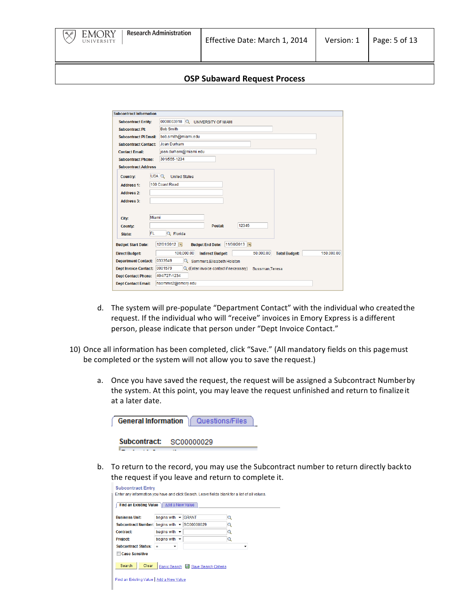

| <b>Subcontract Information</b> |                                                                                          |
|--------------------------------|------------------------------------------------------------------------------------------|
| <b>Subcontract Entity:</b>     | 0000003918<br><b>UNIVERSITY OF MIAMI</b>                                                 |
| <b>Subcontract PI:</b>         | <b>Bob Smith</b>                                                                         |
| <b>Subcontract PI Email:</b>   | bob.smith@miami.edu                                                                      |
| <b>Subcontract Contact:</b>    | Joan Durham                                                                              |
| <b>Contact Email:</b>          | joan.durham@miami.edu                                                                    |
| <b>Subcontract Phone:</b>      | 301/555-1234                                                                             |
| <b>Subcontract Address</b>     |                                                                                          |
| Country:                       | USA Q<br><b>United States</b>                                                            |
| <b>Address 1:</b>              | 100 Coast Road                                                                           |
| <b>Address 2:</b>              |                                                                                          |
| <b>Address 3:</b>              |                                                                                          |
|                                |                                                                                          |
| City:                          | Miami                                                                                    |
| County:                        | 12345<br>Postal:                                                                         |
| FL<br>State:                   | Q Florida                                                                                |
| <b>Budget Start Date:</b>      | 12/01/2012 同<br>11/30/2013 同<br><b>Budget End Date:</b>                                  |
| <b>Direct Budget:</b>          | 100,000.00<br>50,000.00<br>150,000.00<br><b>Indirect Budget:</b><br><b>Total Budget:</b> |
| <b>Department Contact:</b>     | 0333549<br>Q Sommers, Elisabeth Holston                                                  |
| <b>Dept Invoice Contact:</b>   | 0001579<br>Q (Enter invoice contact if necessary)<br>Sussman, Teresa                     |
| <b>Dept Contact Phone:</b>     | 404/727-1234                                                                             |
| <b>Dept Contact Email:</b>     | hsomme2@emory.edu                                                                        |

- d. The system will pre-populate "Department Contact" with the individual who created the request. If the individual who will "receive" invoices in Emory Express is a different person, please indicate that person under "Dept Invoice Contact."
- 10) Once all information has been completed, click "Save." (All mandatory fields on this pagemust be completed or the system will not allow you to save the request.)
	- a. Once you have saved the request, the request will be assigned a Subcontract Numberby the system. At this point, you may leave the request unfinished and return to finalize it at a later date.

| General Information Cuestions/Files |
|-------------------------------------|
| Subcontract: SC00000029             |

b. To return to the record, you may use the Subcontract number to return directly backto the request if you leave and return to complete it.

| <b>Subcontract Entry</b>                     |                                  |                                                                                               |   |
|----------------------------------------------|----------------------------------|-----------------------------------------------------------------------------------------------|---|
|                                              |                                  | Enter any information you have and click Search. Leave fields blank for a list of all values. |   |
| Find an Existing Value   Add a New Value     |                                  |                                                                                               |   |
|                                              |                                  |                                                                                               |   |
| <b>Business Unit:</b>                        | begins with $\blacktriangledown$ | <b>GRANT</b>                                                                                  | Q |
| Subcontract Number: begins with v SC00000029 |                                  |                                                                                               | Q |
| Contract:                                    | begins with -                    |                                                                                               | Q |
| Project:                                     | begins with -                    |                                                                                               | Q |
| <b>Subcontract Status:</b>                   | Ξ                                |                                                                                               |   |
| <b>Case Sensitive</b>                        |                                  |                                                                                               |   |
|                                              |                                  |                                                                                               |   |
| Search<br>Clear                              |                                  | Basic Search 图 Save Search Criteria                                                           |   |
|                                              |                                  |                                                                                               |   |
| Find an Existing Value   Add a New Value     |                                  |                                                                                               |   |
|                                              |                                  |                                                                                               |   |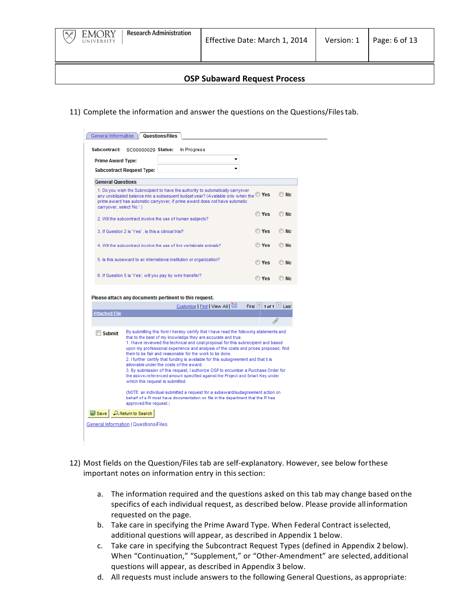

11) Complete the information and answer the questions on the Questions/Files tab.

| Subcontract:             | SC00000029 Status:                                                                                                                          | In Progress                                                                                                                                                                                                                                                                                                                                                                                                                                                                                        |                   |      |
|--------------------------|---------------------------------------------------------------------------------------------------------------------------------------------|----------------------------------------------------------------------------------------------------------------------------------------------------------------------------------------------------------------------------------------------------------------------------------------------------------------------------------------------------------------------------------------------------------------------------------------------------------------------------------------------------|-------------------|------|
| <b>Prime Award Type:</b> |                                                                                                                                             |                                                                                                                                                                                                                                                                                                                                                                                                                                                                                                    |                   |      |
|                          | <b>Subcontract Request Type:</b>                                                                                                            |                                                                                                                                                                                                                                                                                                                                                                                                                                                                                                    |                   |      |
| <b>General Questions</b> |                                                                                                                                             |                                                                                                                                                                                                                                                                                                                                                                                                                                                                                                    |                   |      |
|                          |                                                                                                                                             | 1. Do you wish the Subrecipient to have the authority to automatically carryover                                                                                                                                                                                                                                                                                                                                                                                                                   |                   |      |
| carryover, select 'No.') |                                                                                                                                             | any unobligated balance into a subsequent budget year? (Available only when the $\mathbb O$ Yes<br>prime award has automatic carryover; if prime award does not have automatic                                                                                                                                                                                                                                                                                                                     |                   | © No |
|                          | 2. Will the subcontract involve the use of human subjects?                                                                                  |                                                                                                                                                                                                                                                                                                                                                                                                                                                                                                    | <b>O</b> Yes      | O No |
|                          | 3. If Question 2 is 'Yes', is this a clinical trial?                                                                                        |                                                                                                                                                                                                                                                                                                                                                                                                                                                                                                    | <b>O</b> Yes      | © No |
|                          |                                                                                                                                             | 4. Will the subcontract involve the use of live vertebrate animals?                                                                                                                                                                                                                                                                                                                                                                                                                                | O Yes             | © No |
|                          |                                                                                                                                             | 5. Is this subaward to an international institution or organization?                                                                                                                                                                                                                                                                                                                                                                                                                               | O Yes             | O No |
|                          | 6. If Question 5 is 'Yes', will you pay by wire transfer?                                                                                   |                                                                                                                                                                                                                                                                                                                                                                                                                                                                                                    | <b>Yes</b>        | © No |
|                          |                                                                                                                                             |                                                                                                                                                                                                                                                                                                                                                                                                                                                                                                    |                   |      |
|                          |                                                                                                                                             | Please attach any documents pertinent to this request.                                                                                                                                                                                                                                                                                                                                                                                                                                             |                   |      |
|                          |                                                                                                                                             | Customize   Find   View All                                                                                                                                                                                                                                                                                                                                                                                                                                                                        | First 1 of 1 Last |      |
| <b>Attached File</b>     |                                                                                                                                             |                                                                                                                                                                                                                                                                                                                                                                                                                                                                                                    |                   |      |
|                          |                                                                                                                                             |                                                                                                                                                                                                                                                                                                                                                                                                                                                                                                    |                   |      |
|                          |                                                                                                                                             | By submitting this form I hereby certify that I have read the following statements and                                                                                                                                                                                                                                                                                                                                                                                                             |                   |      |
| <b>Submit</b>            | that to the best of my knowledge they are accurate and true.<br>allowable under the costs of the award.<br>which this request is submitted. | 1. I have reviewed the technical and cost proposal for this subrecipient and based<br>upon my professional experience and analysis of the costs and prices proposed, find<br>them to be fair and reasonable for the work to be done.<br>2. I further certify that funding is available for this subagreement and that it is<br>3. By submission of this request, I authorize OSP to encumber a Purchase Order for<br>the above-referenced amount specified against the Project and Smart Key under |                   |      |

- 12) Most fields on the Question/Files tab are self-explanatory. However, see below forthese important notes on information entry in this section:
	- a. The information required and the questions asked on this tab may change based on the specifics of each individual request, as described below. Please provide all information requested on the page.
	- b. Take care in specifying the Prime Award Type. When Federal Contract isselected, additional questions will appear, as described in Appendix 1 below.
	- c. Take care in specifying the Subcontract Request Types (defined in Appendix 2 below). When "Continuation," "Supplement," or "Other-Amendment" are selected, additional questions will appear, as described in Appendix 3 below.
	- d. All requests must include answers to the following General Questions, as appropriate: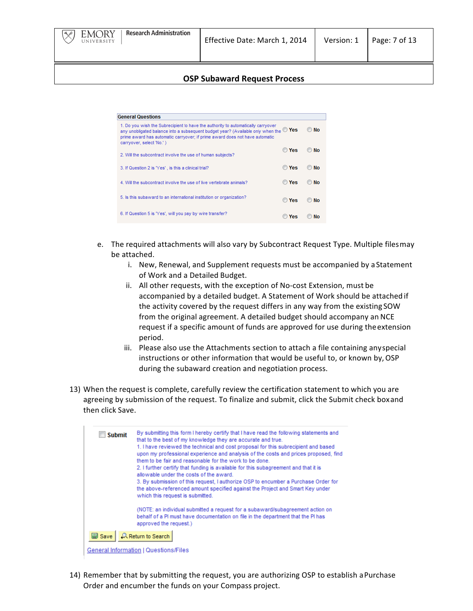

| <b>General Questions</b>                                                                                                                                                                                                                                                                       |              |    |
|------------------------------------------------------------------------------------------------------------------------------------------------------------------------------------------------------------------------------------------------------------------------------------------------|--------------|----|
| 1. Do you wish the Subrecipient to have the authority to automatically carryover<br>any unobligated balance into a subsequent budget year? (Available only when the $\mathbb O$ Yes<br>prime award has automatic carryover; if prime award does not have automatic<br>carryover, select 'No.') |              | No |
| 2. Will the subcontract involve the use of human subjects?                                                                                                                                                                                                                                     | Yes          | No |
| 3. If Question 2 is 'Yes', is this a clinical trial?                                                                                                                                                                                                                                           | <b>Yes</b>   | No |
| 4. Will the subcontract involve the use of live vertebrate animals?                                                                                                                                                                                                                            | <b>O</b> Yes | No |
| 5. Is this subaward to an international institution or organization?                                                                                                                                                                                                                           | Yes          | No |
| 6. If Question 5 is "Yes', will you pay by wire transfer?                                                                                                                                                                                                                                      | Yes          | Nο |

- e. The required attachments will also vary by Subcontract Request Type. Multiple filesmay be attached.
	- i. New, Renewal, and Supplement requests must be accompanied by a Statement of Work and a Detailed Budget.
	- ii. All other requests, with the exception of No-cost Extension, must be accompanied by a detailed budget. A Statement of Work should be attached if the activity covered by the request differs in any way from the existing SOW from the original agreement. A detailed budget should accompany an NCE request if a specific amount of funds are approved for use during the extension period.
	- iii. Please also use the Attachments section to attach a file containing anyspecial instructions or other information that would be useful to, or known by, OSP during the subaward creation and negotiation process.
- 13) When the request is complete, carefully review the certification statement to which you are agreeing by submission of the request. To finalize and submit, click the Submit check boxand then click Save.



14) Remember that by submitting the request, you are authorizing OSP to establish a Purchase Order and encumber the funds on your Compass project.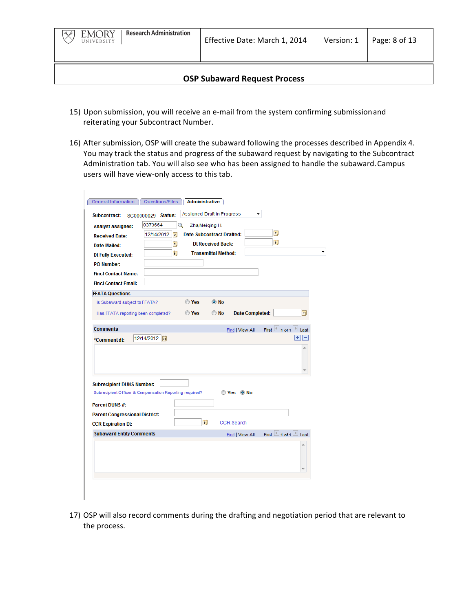- 15) Upon submission, you will receive an e-mail from the system confirming submission and reiterating your Subcontract Number.
- 16) After submission, OSP will create the subaward following the processes described in Appendix 4. You may track the status and progress of the subaward request by navigating to the Subcontract Administration tab. You will also see who has been assigned to handle the subaward. Campus users will have view-only access to this tab.

| 0373664<br><b>Analyst assigned:</b>                                                         |               | Q     | Zha, Meiging H.                  |                        |                                           |            |   |
|---------------------------------------------------------------------------------------------|---------------|-------|----------------------------------|------------------------|-------------------------------------------|------------|---|
| <b>Received Date:</b>                                                                       | 12/14/2012  前 |       | <b>Date Subcontract Drafted:</b> |                        | Ħ<br>Ħ                                    |            |   |
| <b>Date Mailed:</b>                                                                         | Bij           |       | <b>Dt Received Back:</b>         |                        |                                           |            |   |
| <b>Dt Fully Executed:</b>                                                                   | BU            |       | <b>Transmittal Method:</b>       |                        |                                           |            | ۰ |
| <b>PO Number:</b>                                                                           |               |       |                                  |                        |                                           |            |   |
| <b>Fincl Contact Name:</b>                                                                  |               |       |                                  |                        |                                           |            |   |
| <b>Fincl Contact Email:</b>                                                                 |               |       |                                  |                        |                                           |            |   |
| <b>FFATA Questions</b>                                                                      |               |       |                                  |                        |                                           |            |   |
| Is Subaward subject to FFATA?                                                               |               | ◯ Yes | O No                             |                        |                                           |            |   |
| Has FFATA reporting been completed?                                                         |               | ◯ Yes | O No                             | <b>Date Completed:</b> |                                           | 間          |   |
|                                                                                             |               |       |                                  |                        |                                           |            |   |
|                                                                                             |               |       |                                  |                        |                                           |            |   |
|                                                                                             |               |       | Find   View All                  |                        | First $\boxed{4}$ 1 of 1 $\boxed{1}$ Last |            |   |
| 12/14/2012 同<br>*Comment dt:                                                                |               |       |                                  |                        |                                           | $F =$<br>À |   |
|                                                                                             |               |       |                                  |                        |                                           |            |   |
|                                                                                             |               |       |                                  |                        |                                           |            |   |
|                                                                                             |               |       | Yes ONo                          |                        |                                           |            |   |
| <b>Comments</b><br>Subrecipient Officer & Compensation Reporting required?                  |               |       |                                  |                        |                                           |            |   |
| <b>Subrecipient DUNS Number:</b><br>Parent DUNS #:<br><b>Parent Congressional District:</b> |               |       |                                  |                        |                                           |            |   |
| <b>CCR Expiration Dt:</b>                                                                   |               | Ħ     | <b>CCR Search</b>                |                        |                                           |            |   |
| <b>Subaward Entity Comments</b>                                                             |               |       | Find   View All                  |                        | First $\Box$ 1 of 1 $\Box$ Last           |            |   |
|                                                                                             |               |       |                                  |                        |                                           |            |   |
|                                                                                             |               |       |                                  |                        |                                           |            |   |
|                                                                                             |               |       |                                  |                        |                                           |            |   |

17) OSP will also record comments during the drafting and negotiation period that are relevant to the process.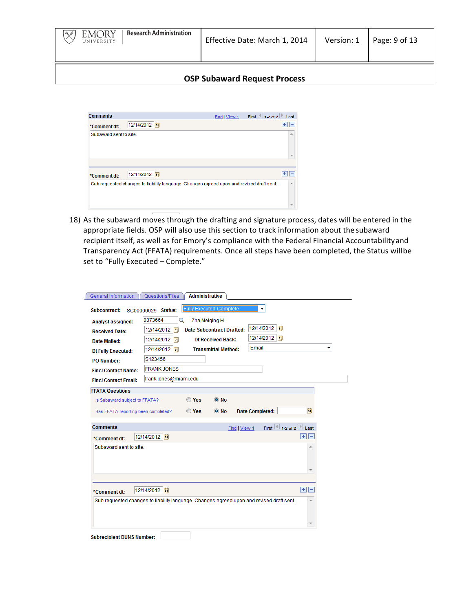

| <b>Comments</b>        |                                                                                          | Find   View 1 | First $\overline{\phantom{a}}$ 1-2 of 2 $\overline{\phantom{a}}$ Last |                          |
|------------------------|------------------------------------------------------------------------------------------|---------------|-----------------------------------------------------------------------|--------------------------|
| *Comment dt:           | 12/14/2012  司                                                                            |               | ٠                                                                     | $\overline{\phantom{0}}$ |
| Subaward sent to site. |                                                                                          |               |                                                                       | A                        |
|                        |                                                                                          |               |                                                                       |                          |
| *Comment dt:           | 12/14/2012  司                                                                            |               |                                                                       |                          |
|                        | Sub requested changes to liability language. Changes agreed upon and revised draft sent. |               |                                                                       | ▲                        |
|                        |                                                                                          |               |                                                                       |                          |

18) As the subaward moves through the drafting and signature process, dates will be entered in the appropriate fields. OSP will also use this section to track information about the subaward recipient itself, as well as for Emory's compliance with the Federal Financial Accountability and Transparency Act (FFATA) requirements. Once all steps have been completed, the Status willbe set to "Fully Executed - Complete."

| Subcontract:<br><b>Analyst assigned:</b>               | SC00000029 Status:<br>0373664<br>Q<br>Zha, Meiging H.                                                                     |
|--------------------------------------------------------|---------------------------------------------------------------------------------------------------------------------------|
| <b>Received Date:</b>                                  | 12/14/2012 同<br><b>Date Subcontract Drafted:</b><br>12/14/2012<br> H                                                      |
| Date Mailed:                                           | 12/14/2012 31<br>12/14/2012 闭<br><b>Dt Received Back:</b>                                                                 |
| <b>Dt Fully Executed:</b>                              | Email<br>▼<br>12/14/2012 同<br><b>Transmittal Method:</b>                                                                  |
| <b>PO Number:</b>                                      | S123456                                                                                                                   |
| <b>Fincl Contact Name:</b>                             | <b>FRANK JONES</b>                                                                                                        |
| <b>Fincl Contact Email:</b>                            | frank.jones@miami.edu                                                                                                     |
| <b>FFATA Questions</b>                                 |                                                                                                                           |
| Is Subaward subject to FFATA?                          | ◯ Yes<br>$\odot$ No                                                                                                       |
|                                                        |                                                                                                                           |
| Has FFATA reporting been completed?<br><b>Comments</b> | <b>Date Completed:</b><br>◯ Yes<br>BU<br>$\odot$ No<br>First $\overline{4}$ 1-2 of 2 $\overline{2}$ Last<br>Find   View 1 |
| *Comment dt:                                           | FF -<br>12/14/2012 同                                                                                                      |
| Subaward sent to site.                                 |                                                                                                                           |
| *Comment dt:                                           | $F =$<br>12/14/2012 闭                                                                                                     |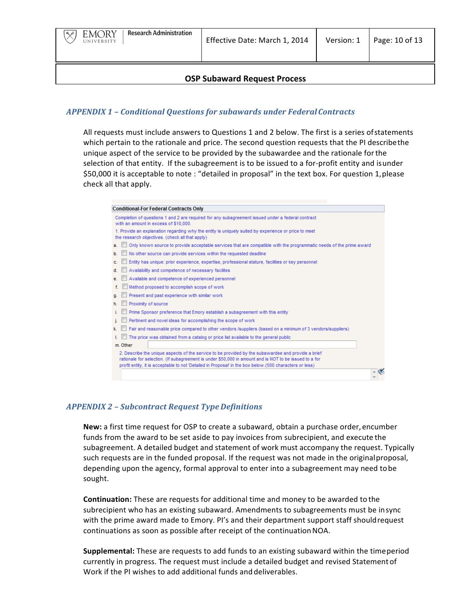

#### **OSP Subaward Request Process**

## *APPENDIX 1 – Conditional Questions for subawards under FederalContracts*

All requests must include answers to Questions 1 and 2 below. The first is a series of statements which pertain to the rationale and price. The second question requests that the PI describethe unique aspect of the service to be provided by the subawardee and the rationale for the selection of that entity. If the subagreement is to be issued to a for-profit entity and isunder \$50,000 it is acceptable to note : "detailed in proposal" in the text box. For question 1, please check all that apply.



#### *APPENDIX 2 – Subcontract Request TypeDefinitions*

**New:** a first time request for OSP to create a subaward, obtain a purchase order, encumber funds from the award to be set aside to pay invoices from subrecipient, and execute the subagreement. A detailed budget and statement of work must accompany the request. Typically such requests are in the funded proposal. If the request was not made in the originalproposal, depending upon the agency, formal approval to enter into a subagreement may need tobe sought.

**Continuation:** These are requests for additional time and money to be awarded to the subrecipient who has an existing subaward. Amendments to subagreements must be insync with the prime award made to Emory. PI's and their department support staff shouldrequest continuations as soon as possible after receipt of the continuation NOA.

**Supplemental:** These are requests to add funds to an existing subaward within the time period currently in progress. The request must include a detailed budget and revised Statement of Work if the PI wishes to add additional funds and deliverables.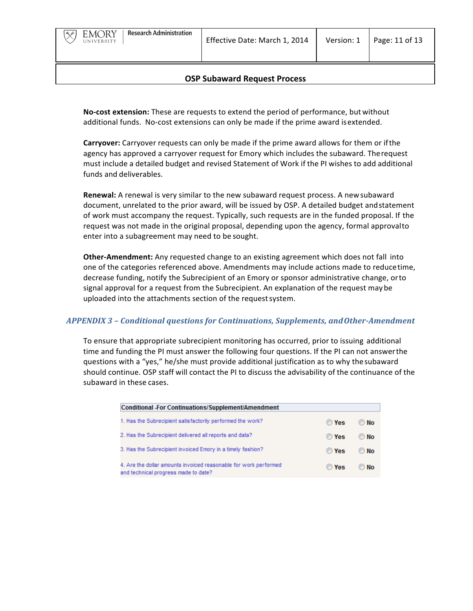

**No-cost extension:** These are requests to extend the period of performance, but without additional funds. No-cost extensions can only be made if the prime award is extended.

**Carryover:** Carryover requests can only be made if the prime award allows for them or if the agency has approved a carryover request for Emory which includes the subaward. The request must include a detailed budget and revised Statement of Work if the PI wishes to add additional funds and deliverables.

**Renewal:** A renewal is very similar to the new subaward request process. A new subaward document, unrelated to the prior award, will be issued by OSP. A detailed budget and statement of work must accompany the request. Typically, such requests are in the funded proposal. If the request was not made in the original proposal, depending upon the agency, formal approvalto enter into a subagreement may need to be sought.

**Other-Amendment:** Any requested change to an existing agreement which does not fall into one of the categories referenced above. Amendments may include actions made to reducetime, decrease funding, notify the Subrecipient of an Emory or sponsor administrative change, orto signal approval for a request from the Subrecipient. An explanation of the request may be uploaded into the attachments section of the request system.

## *APPENDIX 3 – Conditional questions for Continuations, Supplements, andOther-Amendment*

To ensure that appropriate subrecipient monitoring has occurred, prior to issuing additional time and funding the PI must answer the following four questions. If the PI can not answerthe questions with a "yes," he/she must provide additional justification as to why the subaward should continue. OSP staff will contact the PI to discuss the advisability of the continuance of the subaward in these cases.

| Conditional -For Continuations/Supplement/Amendment                                                      |              |            |
|----------------------------------------------------------------------------------------------------------|--------------|------------|
| 1. Has the Subrecipient satisfactorily performed the work?                                               | ◯ Yes        | $\odot$ No |
| 2. Has the Subrecipient delivered all reports and data?                                                  | <b>O</b> Yes | © No       |
| 3. Has the Subrecipient invoiced Emory in a timely fashion?                                              | <b>O</b> Yes | © No       |
| 4. Are the dollar amounts invoiced reasonable for work performed<br>and technical progress made to date? | <b>O</b> Yes | $\odot$ No |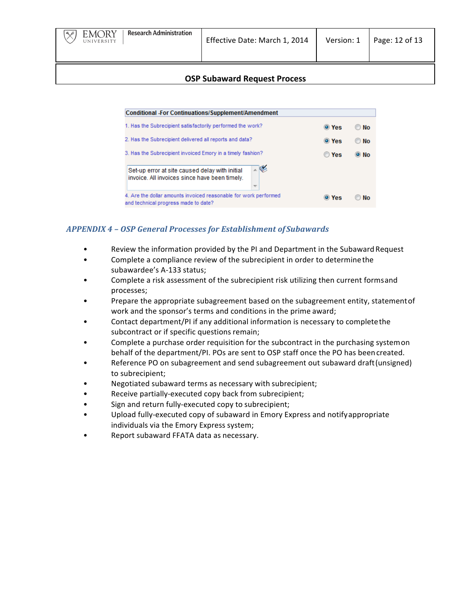

| Conditional -For Continuations/Supplement/Amendment                                                                                |       |            |
|------------------------------------------------------------------------------------------------------------------------------------|-------|------------|
| 1. Has the Subrecipient satisfactorily performed the work?                                                                         | O Yes | © No       |
| 2. Has the Subrecipient delivered all reports and data?                                                                            | O Yes | © No       |
| 3. Has the Subrecipient invoiced Emory in a timely fashion?                                                                        | O Yes | $\odot$ No |
| TG.<br>Set-up error at site caused delay with initial<br>invoice. All invoices since have been timely.<br>$\overline{\phantom{m}}$ |       |            |
| 4. Are the dollar amounts invoiced reasonable for work performed<br>and technical progress made to date?                           | O Yes | Nο         |

# *APPENDIX 4 – OSP General Processes for Establishment of Subawards*

- Review the information provided by the PI and Department in the Subaward Request
- Complete a compliance review of the subrecipient in order to determine the subawardee's A-133 status;
- Complete a risk assessment of the subrecipient risk utilizing then current formsand processes;
- Prepare the appropriate subagreement based on the subagreement entity, statement of work and the sponsor's terms and conditions in the prime award;
- Contact department/PI if any additional information is necessary to complete the subcontract or if specific questions remain;
- Complete a purchase order requisition for the subcontract in the purchasing systemon behalf of the department/PI. POs are sent to OSP staff once the PO has been created.
- Reference PO on subagreement and send subagreement out subaward draft (unsigned) to subrecipient;
- Negotiated subaward terms as necessary with subrecipient;
- Receive partially-executed copy back from subrecipient;
- Sign and return fully-executed copy to subrecipient;
- Upload fully-executed copy of subaward in Emory Express and notifyappropriate individuals via the Emory Express system;
- Report subaward FFATA data as necessary.